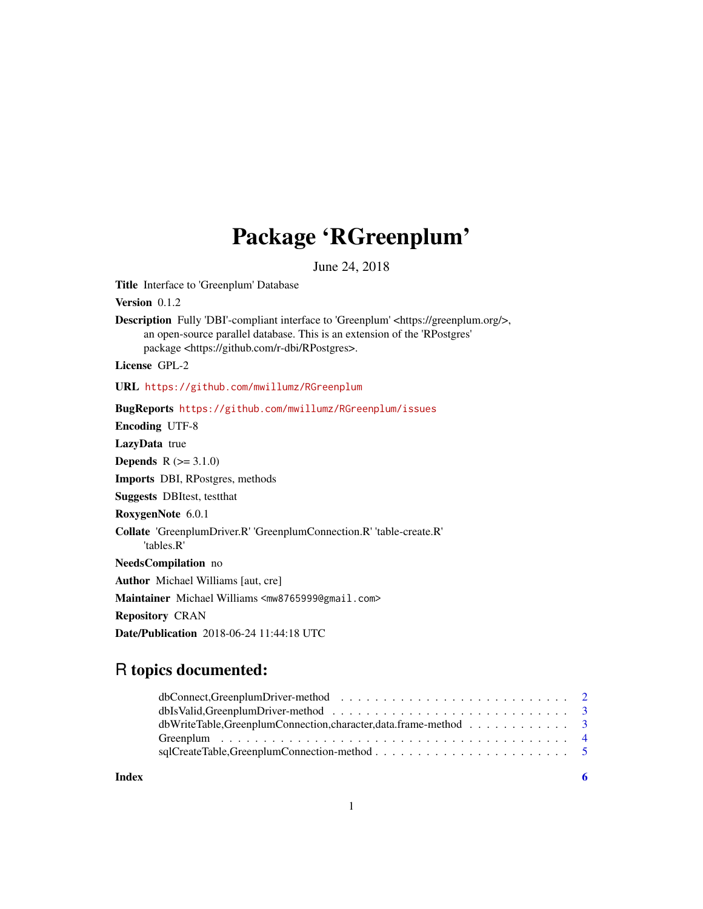## Package 'RGreenplum'

June 24, 2018

Title Interface to 'Greenplum' Database

Version 0.1.2

Description Fully 'DBI'-compliant interface to 'Greenplum' <https://greenplum.org/>, an open-source parallel database. This is an extension of the 'RPostgres' package <https://github.com/r-dbi/RPostgres>.

License GPL-2

URL <https://github.com/mwillumz/RGreenplum>

BugReports <https://github.com/mwillumz/RGreenplum/issues> Encoding UTF-8 LazyData true **Depends**  $R (= 3.1.0)$ Imports DBI, RPostgres, methods Suggests DBItest, testthat RoxygenNote 6.0.1 Collate 'GreenplumDriver.R' 'GreenplumConnection.R' 'table-create.R' 'tables.R' NeedsCompilation no Author Michael Williams [aut, cre] Maintainer Michael Williams <mw8765999@gmail.com> Repository CRAN Date/Publication 2018-06-24 11:44:18 UTC

## R topics documented:

| dbWriteTable,GreenplumConnection,character,data.frame-method 3 |  |
|----------------------------------------------------------------|--|
|                                                                |  |
|                                                                |  |
|                                                                |  |

**Index** [6](#page-5-0) **6**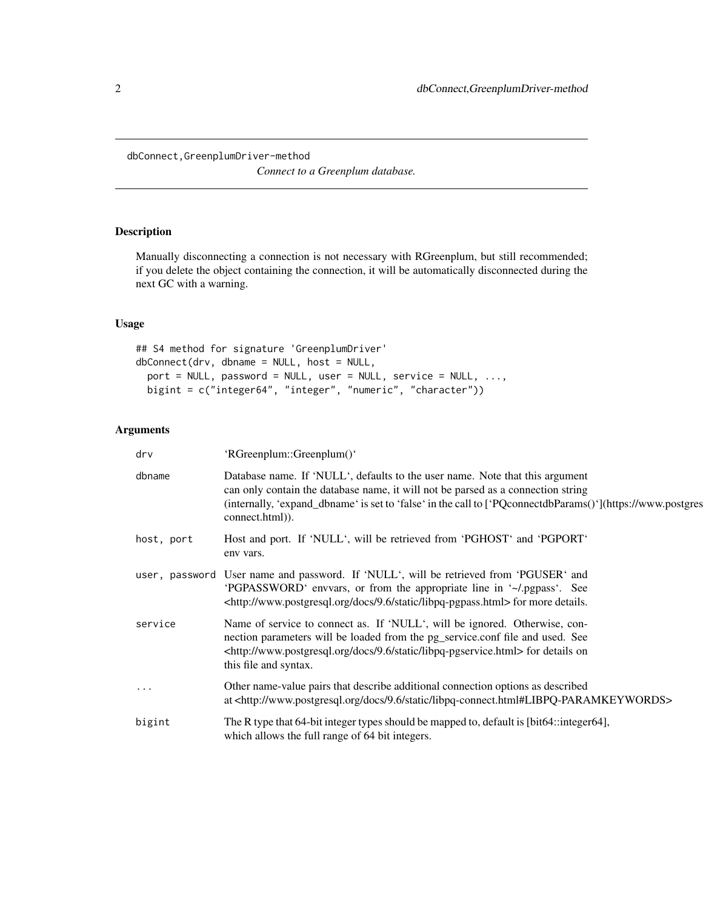*Connect to a Greenplum database.*

#### <span id="page-1-0"></span>Description

Manually disconnecting a connection is not necessary with RGreenplum, but still recommended; if you delete the object containing the connection, it will be automatically disconnected during the next GC with a warning.

#### Usage

```
## S4 method for signature 'GreenplumDriver'
dbConnect(drv, dbname = NULL, host = NULL,
 port = NULL, password = NULL, user = NULL, service = NULL, ...,
 bigint = c("integer64", "integer", "numeric", "character"))
```
## Arguments

| drv        | 'RGreenplum::Greenplum()'                                                                                                                                                                                                                                                                         |
|------------|---------------------------------------------------------------------------------------------------------------------------------------------------------------------------------------------------------------------------------------------------------------------------------------------------|
| dbname     | Database name. If 'NULL', defaults to the user name. Note that this argument<br>can only contain the database name, it will not be parsed as a connection string<br>(internally, 'expand_dbname' is set to 'false' in the call to ['PQconnectdbParams()'](https://www.postgres<br>connect.html)). |
| host, port | Host and port. If 'NULL', will be retrieved from 'PGHOST' and 'PGPORT'<br>env vars.                                                                                                                                                                                                               |
|            | user, password User name and password. If 'NULL', will be retrieved from 'PGUSER' and<br>'PGPASSWORD' envoars, or from the appropriate line in '~/.pgpass'. See<br><http: 9.6="" docs="" libpq-pgpass.html="" static="" www.postgresql.org=""> for more details.</http:>                          |
| service    | Name of service to connect as. If 'NULL', will be ignored. Otherwise, con-<br>nection parameters will be loaded from the pg_service.conf file and used. See<br><http: 9.6="" docs="" libpq-pgservice.html="" static="" www.postgresql.org=""> for details on<br/>this file and syntax.</http:>    |
| $\cdots$   | Other name-value pairs that describe additional connection options as described<br>at <http: 9.6="" docs="" libpq-connect.html#libpq-paramkeywords="" static="" www.postgresql.org=""></http:>                                                                                                    |
| bigint     | The R type that 64-bit integer types should be mapped to, default is [bit64::integer64],<br>which allows the full range of 64 bit integers.                                                                                                                                                       |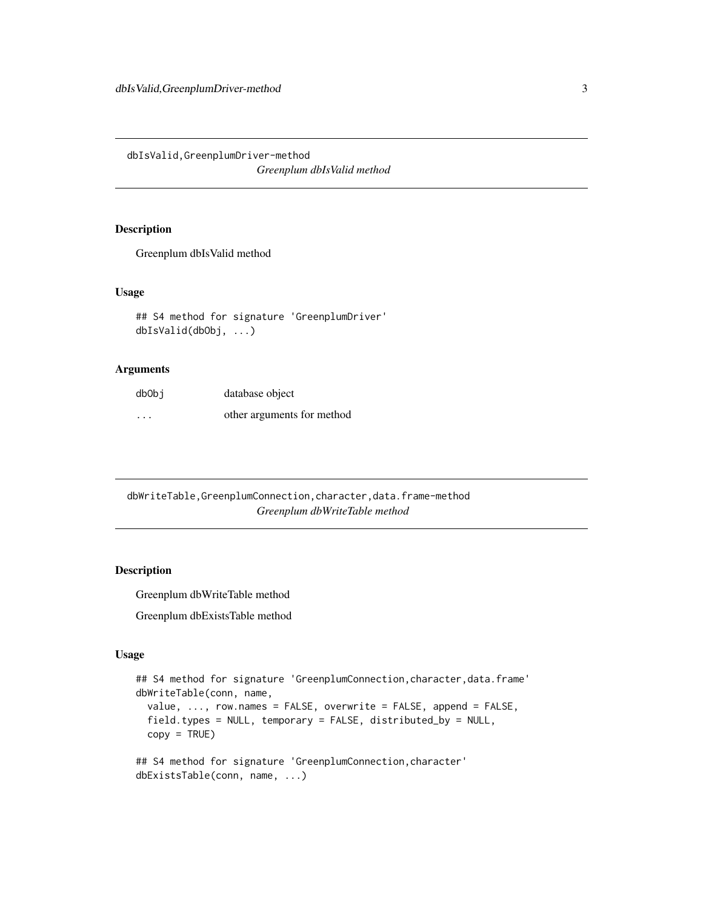<span id="page-2-0"></span>dbIsValid,GreenplumDriver-method *Greenplum dbIsValid method*

#### Description

Greenplum dbIsValid method

#### Usage

```
## S4 method for signature 'GreenplumDriver'
dbIsValid(dbObj, ...)
```
#### Arguments

| db0bj   | database object            |
|---------|----------------------------|
| $\cdot$ | other arguments for method |

dbWriteTable,GreenplumConnection,character,data.frame-method *Greenplum dbWriteTable method*

#### Description

Greenplum dbWriteTable method

Greenplum dbExistsTable method

#### Usage

```
## S4 method for signature 'GreenplumConnection,character,data.frame'
dbWriteTable(conn, name,
 value, ..., row.names = FALSE, overwrite = FALSE, append = FALSE,
 field.types = NULL, temporary = FALSE, distributed_by = NULL,
 copy = TRUE)
## S4 method for signature 'GreenplumConnection,character'
dbExistsTable(conn, name, ...)
```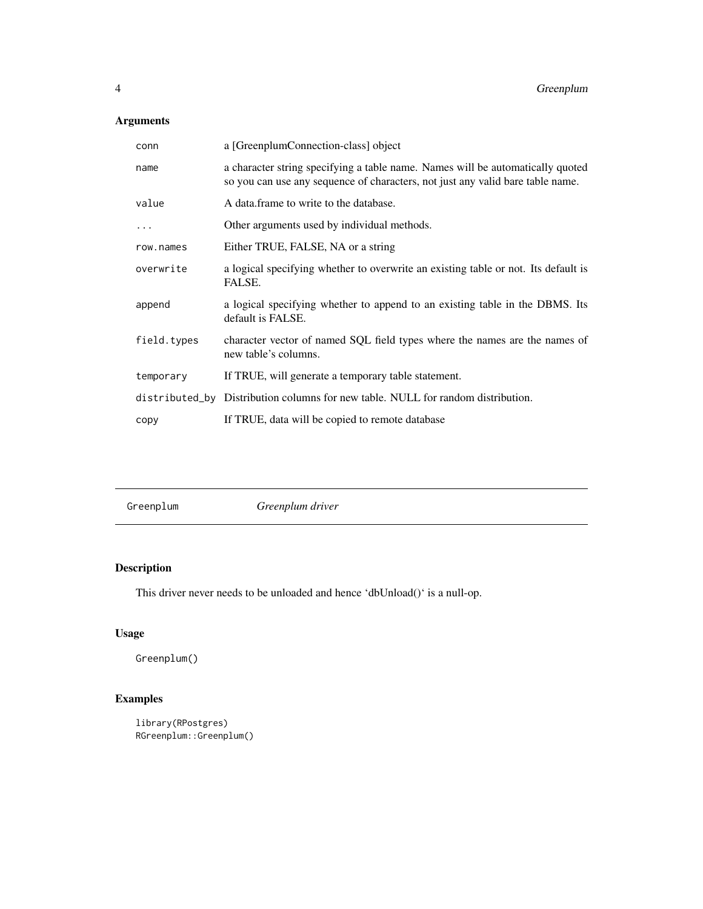### <span id="page-3-0"></span>Arguments

| conn        | a [GreenplumConnection-class] object                                                                                                                             |
|-------------|------------------------------------------------------------------------------------------------------------------------------------------------------------------|
| name        | a character string specifying a table name. Names will be automatically quoted<br>so you can use any sequence of characters, not just any valid bare table name. |
| value       | A data.frame to write to the database.                                                                                                                           |
| .           | Other arguments used by individual methods.                                                                                                                      |
| row.names   | Either TRUE, FALSE, NA or a string                                                                                                                               |
| overwrite   | a logical specifying whether to overwrite an existing table or not. Its default is<br>FALSE.                                                                     |
| append      | a logical specifying whether to append to an existing table in the DBMS. Its<br>default is FALSE.                                                                |
| field.types | character vector of named SQL field types where the names are the names of<br>new table's columns.                                                               |
| temporary   | If TRUE, will generate a temporary table statement.                                                                                                              |
|             | distributed_by Distribution columns for new table. NULL for random distribution.                                                                                 |
| copy        | If TRUE, data will be copied to remote database                                                                                                                  |

Greenplum *Greenplum driver*

## Description

This driver never needs to be unloaded and hence 'dbUnload()' is a null-op.

## Usage

Greenplum()

## Examples

```
library(RPostgres)
RGreenplum::Greenplum()
```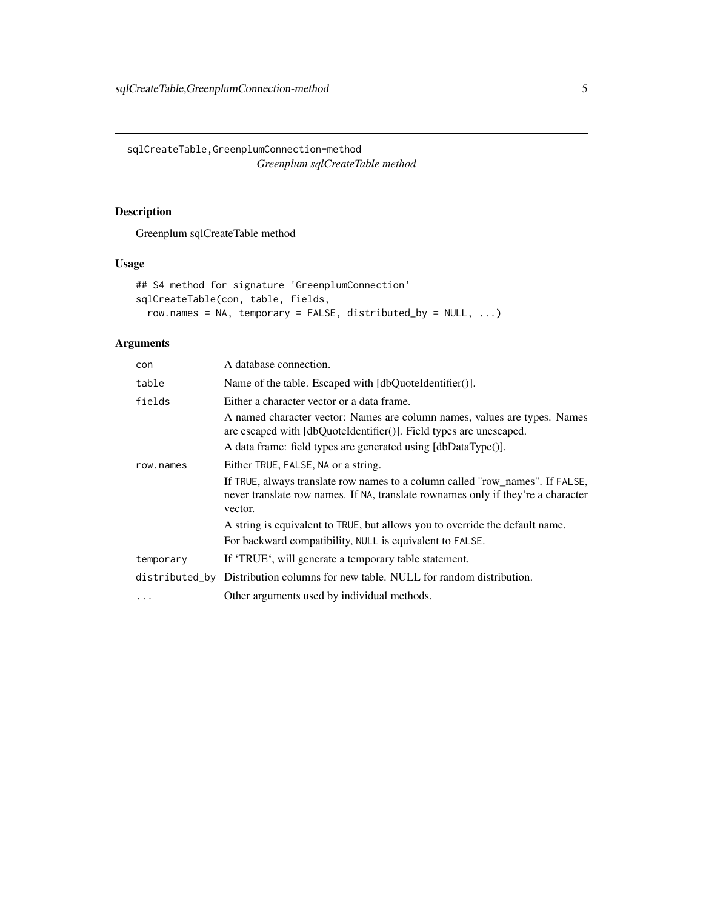<span id="page-4-0"></span>sqlCreateTable,GreenplumConnection-method *Greenplum sqlCreateTable method*

#### Description

Greenplum sqlCreateTable method

#### Usage

```
## S4 method for signature 'GreenplumConnection'
sqlCreateTable(con, table, fields,
 row.names = NA, temporary = FALSE, distributed_by = NULL, ...)
```
#### Arguments

| con       | A database connection.                                                                                                                                                                                                                                                                                                                                                                                                                                |
|-----------|-------------------------------------------------------------------------------------------------------------------------------------------------------------------------------------------------------------------------------------------------------------------------------------------------------------------------------------------------------------------------------------------------------------------------------------------------------|
| table     | Name of the table. Escaped with $\lceil \text{dbQuotel} \cdot \text{d} \cdot \text{d} \cdot \text{d} \cdot \text{d} \cdot \text{d} \cdot \text{d} \cdot \text{d} \cdot \text{d} \cdot \text{d} \cdot \text{d} \cdot \text{d} \cdot \text{d} \cdot \text{d} \cdot \text{d} \cdot \text{d} \cdot \text{d} \cdot \text{d} \cdot \text{d} \cdot \text{d} \cdot \text{d} \cdot \text{d} \cdot \text{d} \cdot \text{d} \cdot \text{d} \cdot \text{d} \cdot$ |
| fields    | Either a character vector or a data frame.                                                                                                                                                                                                                                                                                                                                                                                                            |
|           | A named character vector: Names are column names, values are types. Names<br>are escaped with [dbQuoteIdentifier()]. Field types are unescaped.                                                                                                                                                                                                                                                                                                       |
|           | A data frame: field types are generated using [dbDataType()].                                                                                                                                                                                                                                                                                                                                                                                         |
| row.names | Either TRUE, FALSE, NA or a string.                                                                                                                                                                                                                                                                                                                                                                                                                   |
|           | If TRUE, always translate row names to a column called "row_names". If FALSE,<br>never translate row names. If NA, translate rownames only if they're a character<br>vector.                                                                                                                                                                                                                                                                          |
|           | A string is equivalent to TRUE, but allows you to override the default name.                                                                                                                                                                                                                                                                                                                                                                          |
|           | For backward compatibility, NULL is equivalent to FALSE.                                                                                                                                                                                                                                                                                                                                                                                              |
| temporary | If 'TRUE', will generate a temporary table statement.                                                                                                                                                                                                                                                                                                                                                                                                 |
|           | distributed_by Distribution columns for new table. NULL for random distribution.                                                                                                                                                                                                                                                                                                                                                                      |
| $\cdots$  | Other arguments used by individual methods.                                                                                                                                                                                                                                                                                                                                                                                                           |